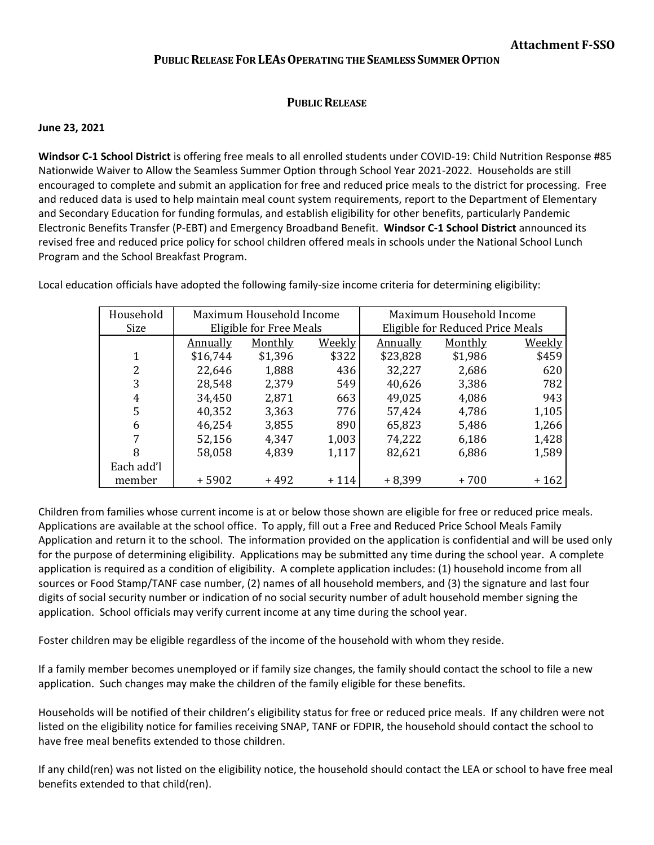## **PUBLIC RELEASE FOR LEAS OPERATING THE SEAMLESS SUMMER OPTION**

## **PUBLIC RELEASE**

## **June 23, 2021**

**Windsor C-1 School District** is offering free meals to all enrolled students under COVID-19: Child Nutrition Response #85 Nationwide Waiver to Allow the Seamless Summer Option through School Year 2021-2022. Households are still encouraged to complete and submit an application for free and reduced price meals to the district for processing. Free and reduced data is used to help maintain meal count system requirements, report to the Department of Elementary and Secondary Education for funding formulas, and establish eligibility for other benefits, particularly Pandemic Electronic Benefits Transfer (P-EBT) and Emergency Broadband Benefit. **Windsor C-1 School District** announced its revised free and reduced price policy for school children offered meals in schools under the National School Lunch Program and the School Breakfast Program.

| Household  | Maximum Household Income |         |        | Maximum Household Income         |         |               |
|------------|--------------------------|---------|--------|----------------------------------|---------|---------------|
| Size       | Eligible for Free Meals  |         |        | Eligible for Reduced Price Meals |         |               |
|            | <b>Annually</b>          | Monthly | Weekly | Annually                         | Monthly | <u>Weekly</u> |
| 1          | \$16,744                 | \$1,396 | \$322  | \$23,828                         | \$1,986 | \$459         |
| 2          | 22,646                   | 1,888   | 436    | 32,227                           | 2,686   | 620           |
| 3          | 28,548                   | 2,379   | 549    | 40,626                           | 3,386   | 782           |
| 4          | 34,450                   | 2,871   | 663    | 49,025                           | 4,086   | 943           |
| 5          | 40,352                   | 3,363   | 776    | 57,424                           | 4,786   | 1,105         |
| 6          | 46,254                   | 3,855   | 890    | 65,823                           | 5,486   | 1,266         |
| 7          | 52,156                   | 4,347   | 1,003  | 74,222                           | 6,186   | 1,428         |
| 8          | 58,058                   | 4,839   | 1,117  | 82,621                           | 6,886   | 1,589         |
| Each add'l |                          |         |        |                                  |         |               |
| member     | $+5902$                  | $+492$  | $+114$ | $+8,399$                         | $+700$  | $+162$        |

Local education officials have adopted the following family-size income criteria for determining eligibility:

Children from families whose current income is at or below those shown are eligible for free or reduced price meals. Applications are available at the school office. To apply, fill out a Free and Reduced Price School Meals Family Application and return it to the school. The information provided on the application is confidential and will be used only for the purpose of determining eligibility. Applications may be submitted any time during the school year. A complete application is required as a condition of eligibility. A complete application includes: (1) household income from all sources or Food Stamp/TANF case number, (2) names of all household members, and (3) the signature and last four digits of social security number or indication of no social security number of adult household member signing the application. School officials may verify current income at any time during the school year.

Foster children may be eligible regardless of the income of the household with whom they reside.

If a family member becomes unemployed or if family size changes, the family should contact the school to file a new application. Such changes may make the children of the family eligible for these benefits.

Households will be notified of their children's eligibility status for free or reduced price meals. If any children were not listed on the eligibility notice for families receiving SNAP, TANF or FDPIR, the household should contact the school to have free meal benefits extended to those children.

If any child(ren) was not listed on the eligibility notice, the household should contact the LEA or school to have free meal benefits extended to that child(ren).